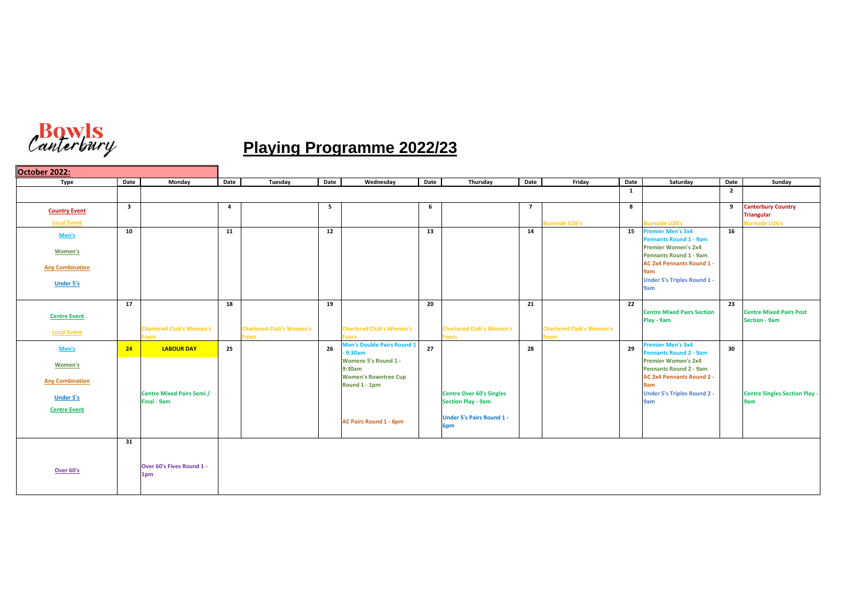

## **Playing Programme 2022/23**

| October 2022:          |                         |                                  |      |                                 |                         |                                           |      |                                         |                 |                                 |                 |                                                             |                 |                                                        |
|------------------------|-------------------------|----------------------------------|------|---------------------------------|-------------------------|-------------------------------------------|------|-----------------------------------------|-----------------|---------------------------------|-----------------|-------------------------------------------------------------|-----------------|--------------------------------------------------------|
| <b>Type</b>            | <b>Date</b>             | <b>Monday</b>                    | Date | Tuesday                         | Date                    | Wednesday                                 | Date | Thursday                                | Date            | Friday                          | <b>Date</b>     | Saturday                                                    | <b>Date</b>     | Sunday                                                 |
|                        |                         |                                  |      |                                 |                         |                                           |      |                                         |                 |                                 | $\mathbf{1}$    |                                                             | $\overline{2}$  |                                                        |
| <b>Country Event</b>   | $\overline{\mathbf{3}}$ |                                  | 4    |                                 | $\overline{\mathbf{5}}$ |                                           | 6    |                                         | $\overline{7}$  |                                 | 8               |                                                             | 9               | <b>Canterbury Country</b><br><b>Triangular</b>         |
| <b>Local Event</b>     |                         |                                  |      |                                 |                         |                                           |      |                                         |                 | <b>Burnside U26's</b>           |                 | <b>Burnside U26's</b>                                       |                 | <b>Burnside U26's</b>                                  |
| Men's                  | 10                      |                                  | 11   |                                 | 12                      |                                           | 13   |                                         | 14              |                                 | 15              | <b>Premier Men's 3x4</b><br><b>Pennants Round 1 - 9am</b>   | 16              |                                                        |
| <b>Women's</b>         |                         |                                  |      |                                 |                         |                                           |      |                                         |                 |                                 |                 | <b>Premier Women's 2x4</b>                                  |                 |                                                        |
|                        |                         |                                  |      |                                 |                         |                                           |      |                                         |                 |                                 |                 | <b>Pennants Round 1 - 9am</b>                               |                 |                                                        |
| <b>Any Combination</b> |                         |                                  |      |                                 |                         |                                           |      |                                         |                 |                                 |                 | <b>AC 2x4 Pennants Round 1 -</b><br>9am                     |                 |                                                        |
| <b>Under 5's</b>       |                         |                                  |      |                                 |                         |                                           |      |                                         |                 |                                 |                 | <b>Under 5's Triples Round 1 -</b>                          |                 |                                                        |
|                        |                         |                                  |      |                                 |                         |                                           |      |                                         |                 |                                 |                 | 9am                                                         |                 |                                                        |
|                        | 17                      |                                  | 18   |                                 | 19                      |                                           | 20   |                                         | $\overline{21}$ |                                 | $\overline{22}$ |                                                             | $\overline{23}$ |                                                        |
| <b>Centre Event</b>    |                         |                                  |      |                                 |                         |                                           |      |                                         |                 |                                 |                 | <b>Centre Mixed Pairs Section</b><br>Play - 9am             |                 | <b>Centre Mixed Pairs Post</b><br><b>Section - 9am</b> |
| <b>Local Event</b>     |                         | <b>Chartered Club's Women's</b>  |      | <b>Chartered Club's Women's</b> |                         | <b>Chartered Club's Women's</b>           |      | <b>Chartered Club's Women's</b>         |                 | <b>Chartered Club's Women's</b> |                 |                                                             |                 |                                                        |
|                        |                         | <b>Fours</b>                     |      | ours                            |                         | ours<br><b>Men's Double Pairs Round 1</b> |      | <b>Fours</b>                            |                 | ours                            |                 | <b>Premier Men's 3x4</b>                                    |                 |                                                        |
| Men's                  | 24                      | <b>LABOUR DAY</b>                | 25   |                                 | 26                      | 9:30am                                    | 27   |                                         | 28              |                                 | 29              | <b>Pennants Round 2 - 9am</b>                               | 30              |                                                        |
| <b>Women's</b>         |                         |                                  |      |                                 |                         | <b>Womens 5's Round 1 -</b><br>9:30am     |      |                                         |                 |                                 |                 | <b>Premier Women's 2x4</b><br><b>Pennants Round 2 - 9am</b> |                 |                                                        |
| <b>Any Combination</b> |                         |                                  |      |                                 |                         | <b>Women's Rowntree Cup</b>               |      |                                         |                 |                                 |                 | <b>AC 2x4 Pennants Round 2 -</b>                            |                 |                                                        |
|                        |                         | <b>Centre Mixed Pairs Semi /</b> |      |                                 |                         | Round 1 - 1pm                             |      | <b>Centre Over 60's Singles</b>         |                 |                                 |                 | 9am<br><b>Under 5's Triples Round 2 -</b>                   |                 | <b>Centre Singles Section Play -</b>                   |
| <b>Under 5's</b>       |                         | Final - 9am                      |      |                                 |                         |                                           |      | <b>Section Play - 9am</b>               |                 |                                 |                 | 9am                                                         |                 | 9am                                                    |
| <b>Centre Event</b>    |                         |                                  |      |                                 |                         |                                           |      |                                         |                 |                                 |                 |                                                             |                 |                                                        |
|                        |                         |                                  |      |                                 |                         | <b>AC Pairs Round 1 - 6pm</b>             |      | <b>Under 5's Pairs Round 1 -</b><br>6pm |                 |                                 |                 |                                                             |                 |                                                        |
|                        |                         |                                  |      |                                 |                         |                                           |      |                                         |                 |                                 |                 |                                                             |                 |                                                        |
|                        | 31                      |                                  |      |                                 |                         |                                           |      |                                         |                 |                                 |                 |                                                             |                 |                                                        |
|                        |                         |                                  |      |                                 |                         |                                           |      |                                         |                 |                                 |                 |                                                             |                 |                                                        |
| Over 60's              |                         | Over 60's Fives Round 1 -<br>1pm |      |                                 |                         |                                           |      |                                         |                 |                                 |                 |                                                             |                 |                                                        |
|                        |                         |                                  |      |                                 |                         |                                           |      |                                         |                 |                                 |                 |                                                             |                 |                                                        |
|                        |                         |                                  |      |                                 |                         |                                           |      |                                         |                 |                                 |                 |                                                             |                 |                                                        |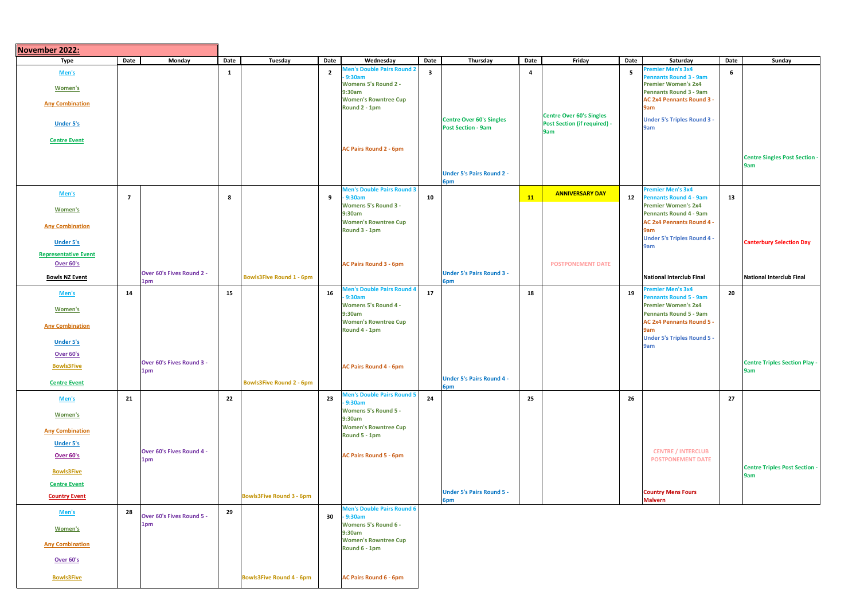| November 2022:              |                |                                  |      |                                 |                |                                                                            |                         |                                                              |      |                                            |                |                                                                                  |      |                                             |
|-----------------------------|----------------|----------------------------------|------|---------------------------------|----------------|----------------------------------------------------------------------------|-------------------------|--------------------------------------------------------------|------|--------------------------------------------|----------------|----------------------------------------------------------------------------------|------|---------------------------------------------|
| Type                        | Date           | <b>Monday</b>                    | Date | <b>Tuesday</b>                  | Date           | Wednesday                                                                  | Date                    | Thursday                                                     | Date | Friday                                     | Date           | Saturday                                                                         | Date | Sunday                                      |
| Men's                       |                |                                  | 1    |                                 | $\overline{2}$ | <b>Men's Double Pairs Round 2</b><br>9:30am<br><b>Womens 5's Round 2 -</b> | $\overline{\mathbf{3}}$ |                                                              | 4    |                                            | 5 <sup>1</sup> | Premier Men's 3x4<br><b>Pennants Round 3 - 9am</b><br><b>Premier Women's 2x4</b> | 6    |                                             |
| <b>Women's</b>              |                |                                  |      |                                 |                | 9:30am                                                                     |                         |                                                              |      |                                            |                | <b>Pennants Round 3 - 9am</b>                                                    |      |                                             |
| <b>Any Combination</b>      |                |                                  |      |                                 |                | <b>Women's Rowntree Cup</b><br>Round 2 - 1pm                               |                         |                                                              |      | <b>Centre Over 60's Singles</b>            |                | <b>AC 2x4 Pennants Round 3 -</b><br>9am                                          |      |                                             |
| <b>Under 5's</b>            |                |                                  |      |                                 |                |                                                                            |                         | <b>Centre Over 60's Singles</b><br><b>Post Section - 9am</b> |      | <b>Post Section (if required) -</b><br>9am |                | <b>Under 5's Triples Round 3 -</b><br>9am                                        |      |                                             |
| <b>Centre Event</b>         |                |                                  |      |                                 |                |                                                                            |                         |                                                              |      |                                            |                |                                                                                  |      |                                             |
|                             |                |                                  |      |                                 |                | <b>AC Pairs Round 2 - 6pm</b>                                              |                         |                                                              |      |                                            |                |                                                                                  |      | <b>Centre Singles Post Section -</b>        |
|                             |                |                                  |      |                                 |                |                                                                            |                         | <b>Under 5's Pairs Round 2 -</b>                             |      |                                            |                |                                                                                  |      | 9am                                         |
|                             |                |                                  |      |                                 |                | <b>Men's Double Pairs Round 3</b>                                          |                         | 6pm                                                          |      |                                            |                | <b>Premier Men's 3x4</b>                                                         |      |                                             |
| Men's                       | $\overline{7}$ |                                  | 8    |                                 | 9              | $-9:30am$                                                                  | 10                      |                                                              | 11   | <b>ANNIVERSARY DAY</b>                     | 12             | <b>Pennants Round 4 - 9am</b>                                                    | 13   |                                             |
| <b>Women's</b>              |                |                                  |      |                                 |                | <b>Womens 5's Round 3 -</b><br>9:30am                                      |                         |                                                              |      |                                            |                | <b>Premier Women's 2x4</b><br><b>Pennants Round 4 - 9am</b>                      |      |                                             |
| <b>Any Combination</b>      |                |                                  |      |                                 |                | <b>Women's Rowntree Cup</b><br>Round 3 - 1pm                               |                         |                                                              |      |                                            |                | <b>AC 2x4 Pennants Round 4 -</b><br>9am                                          |      |                                             |
| <b>Under 5's</b>            |                |                                  |      |                                 |                |                                                                            |                         |                                                              |      |                                            |                | <b>Under 5's Triples Round 4 -</b><br><b>9am</b>                                 |      | <b>Canterbury Selection Day</b>             |
| <b>Representative Event</b> |                |                                  |      |                                 |                |                                                                            |                         |                                                              |      |                                            |                |                                                                                  |      |                                             |
| Over 60's                   |                | Over 60's Fives Round 2 -        |      |                                 |                | <b>AC Pairs Round 3 - 6pm</b>                                              |                         | <b>Under 5's Pairs Round 3 -</b>                             |      | <b>POSTPONEMENT DATE</b>                   |                |                                                                                  |      |                                             |
| <b>Bowls NZ Event</b>       |                | 1pm                              |      | <b>Bowls3Five Round 1 - 6pm</b> |                |                                                                            |                         | 6pm                                                          |      |                                            |                | National Interclub Final                                                         |      | National Interclub Final                    |
| Men's                       | 14             |                                  | 15   |                                 | 16             | <b>Men's Double Pairs Round 4</b><br>$-9:30am$                             | 17                      |                                                              | 18   |                                            | 19             | <b>Premier Men's 3x4</b><br><b>Pennants Round 5 - 9am</b>                        | 20   |                                             |
| <b>Women's</b>              |                |                                  |      |                                 |                | <b>Womens 5's Round 4 -</b>                                                |                         |                                                              |      |                                            |                | <b>Premier Women's 2x4</b>                                                       |      |                                             |
|                             |                |                                  |      |                                 |                | 9:30am<br><b>Women's Rowntree Cup</b>                                      |                         |                                                              |      |                                            |                | <b>Pennants Round 5 - 9am</b><br><b>AC 2x4 Pennants Round 5 -</b>                |      |                                             |
| <b>Any Combination</b>      |                |                                  |      |                                 |                | Round 4 - 1pm                                                              |                         |                                                              |      |                                            |                | 9am<br><b>Under 5's Triples Round 5 -</b>                                        |      |                                             |
| <b>Under 5's</b>            |                |                                  |      |                                 |                |                                                                            |                         |                                                              |      |                                            |                | 9am                                                                              |      |                                             |
| <b>Over 60's</b>            |                | Over 60's Fives Round 3 -        |      |                                 |                |                                                                            |                         |                                                              |      |                                            |                |                                                                                  |      | <b>Centre Triples Section Play -</b>        |
| <b>Bowls3Five</b>           |                | 1pm                              |      |                                 |                | <b>AC Pairs Round 4 - 6pm</b>                                              |                         |                                                              |      |                                            |                |                                                                                  |      | 9am                                         |
| <b>Centre Event</b>         |                |                                  |      | <b>Bowls3Five Round 2 - 6pm</b> |                |                                                                            |                         | <b>Under 5's Pairs Round 4 -</b><br>6pm                      |      |                                            |                |                                                                                  |      |                                             |
| Men's                       | 21             |                                  | 22   |                                 | 23             | <b>Men's Double Pairs Round 5</b><br>9:30am                                | 24                      |                                                              | 25   |                                            | 26             |                                                                                  | 27   |                                             |
| <b>Women's</b>              |                |                                  |      |                                 |                | <b>Womens 5's Round 5 -</b><br>9:30am                                      |                         |                                                              |      |                                            |                |                                                                                  |      |                                             |
| <b>Any Combination</b>      |                |                                  |      |                                 |                | <b>Women's Rowntree Cup</b><br>Round 5 - 1pm                               |                         |                                                              |      |                                            |                |                                                                                  |      |                                             |
| <b>Under 5's</b>            |                |                                  |      |                                 |                |                                                                            |                         |                                                              |      |                                            |                |                                                                                  |      |                                             |
| <b>Over 60's</b>            |                | Over 60's Fives Round 4 -<br>1pm |      |                                 |                | <b>AC Pairs Round 5 - 6pm</b>                                              |                         |                                                              |      |                                            |                | <b>CENTRE / INTERCLUB</b><br><b>POSTPONEMENT DATE</b>                            |      |                                             |
| <b>Bowls3Five</b>           |                |                                  |      |                                 |                |                                                                            |                         |                                                              |      |                                            |                |                                                                                  |      | <b>Centre Triples Post Section -</b><br>9am |
| <b>Centre Event</b>         |                |                                  |      |                                 |                |                                                                            |                         |                                                              |      |                                            |                |                                                                                  |      |                                             |
| <b>Country Event</b>        |                |                                  |      | <b>Bowls3Five Round 3 - 6pm</b> |                |                                                                            |                         | <b>Under 5's Pairs Round 5 -</b><br>6pm                      |      |                                            |                | <b>Country Mens Fours</b><br><b>Malvern</b>                                      |      |                                             |
| Men's                       | 28             | Over 60's Fives Round 5 -        | 29   |                                 | 30             | <b>Men's Double Pairs Round 6</b><br>$-9:30am$                             |                         |                                                              |      |                                            |                |                                                                                  |      |                                             |
| <b>Women's</b>              |                | 1pm                              |      |                                 |                | <b>Womens 5's Round 6 -</b>                                                |                         |                                                              |      |                                            |                |                                                                                  |      |                                             |
|                             |                |                                  |      |                                 |                | 9:30am<br><b>Women's Rowntree Cup</b>                                      |                         |                                                              |      |                                            |                |                                                                                  |      |                                             |
| <b>Any Combination</b>      |                |                                  |      |                                 |                | Round 6 - 1pm                                                              |                         |                                                              |      |                                            |                |                                                                                  |      |                                             |
| <b>Over 60's</b>            |                |                                  |      |                                 |                |                                                                            |                         |                                                              |      |                                            |                |                                                                                  |      |                                             |
| <b>Bowls3Five</b>           |                |                                  |      | <b>Bowls3Five Round 4 - 6pm</b> |                | <b>AC Pairs Round 6 - 6pm</b>                                              |                         |                                                              |      |                                            |                |                                                                                  |      |                                             |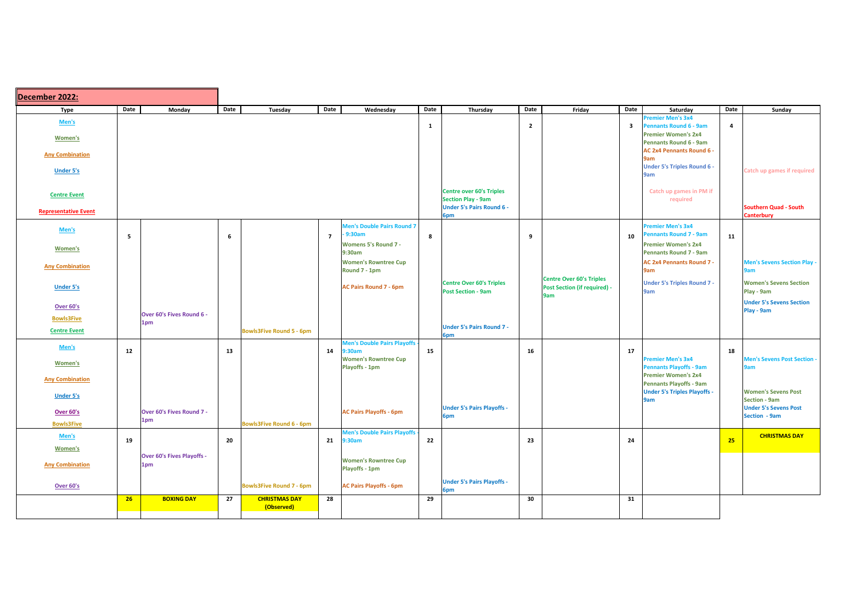| Date<br>Date<br>Date<br>Monday<br>Wednesday<br>Date<br>Thursday<br>Date<br>Friday<br>Date<br><b>Type</b><br>Tuesday<br>Saturday                               | Date |                                               |
|---------------------------------------------------------------------------------------------------------------------------------------------------------------|------|-----------------------------------------------|
|                                                                                                                                                               |      | Sunday                                        |
| <b>Premier Men's 3x4</b><br>Men's<br>$\overline{2}$<br>$\overline{\mathbf{3}}$<br><b>Pennants Round 6 - 9am</b><br>$\mathbf{1}$                               | 4    |                                               |
| <b>Premier Women's 2x4</b><br><b>Women's</b>                                                                                                                  |      |                                               |
| <b>Pennants Round 6 - 9am</b><br><b>AC 2x4 Pennants Round 6 -</b>                                                                                             |      |                                               |
| <b>Any Combination</b><br>9am                                                                                                                                 |      |                                               |
| <b>Under 5's Triples Round 6 -</b><br><b>Under 5's</b><br>9am                                                                                                 |      | <b>Catch up games if required</b>             |
| <b>Centre over 60's Triples</b><br>Catch up games in PM if<br><b>Centre Event</b><br><b>Section Play - 9am</b><br>required                                    |      |                                               |
| <b>Under 5's Pairs Round 6 -</b><br><b>Representative Event</b>                                                                                               |      | <b>Southern Quad - South</b>                  |
| 6pm                                                                                                                                                           |      | <b>Canterbury</b>                             |
| <b>Men's Double Pairs Round 7</b><br><b>Premier Men's 3x4</b><br>Men's<br>9:30am<br><b>Pennants Round 7 - 9am</b><br>$\overline{7}$<br>10<br>6<br>8<br>5<br>9 | 11   |                                               |
| <b>Womens 5's Round 7 -</b><br><b>Premier Women's 2x4</b><br><b>Women's</b>                                                                                   |      |                                               |
| <b>Pennants Round 7 - 9am</b><br>9:30am                                                                                                                       |      |                                               |
| <b>Women's Rowntree Cup</b><br><b>AC 2x4 Pennants Round 7 -</b><br><b>Any Combination</b><br>Round 7 - 1pm<br>9am                                             |      | Men's Sevens Section Play -<br>9am            |
| <b>Centre Over 60's Triples</b><br><b>Under 5's Triples Round 7 -</b><br><b>Centre Over 60's Triples</b>                                                      |      | <b>Women's Sevens Section</b>                 |
| <b>AC Pairs Round 7 - 6pm</b><br><b>Post Section (if required) -</b><br><b>Under 5's</b><br><b>Post Section - 9am</b><br>9am<br>9am                           |      | Play - 9am                                    |
| <b>Over 60's</b>                                                                                                                                              |      | <b>Under 5's Sevens Section</b>               |
| Over 60's Fives Round 6 -<br><b>Bowls3Five</b>                                                                                                                |      | Play - 9am                                    |
| 1pm<br><b>Under 5's Pairs Round 7 -</b><br><b>Bowls3Five Round 5 - 6pm</b><br><b>Centre Event</b>                                                             |      |                                               |
| 6pm<br><b>Men's Double Pairs Playoffs</b>                                                                                                                     |      |                                               |
| Men's<br>12<br>13<br>17<br>14<br>9:30am<br>15<br>16                                                                                                           | 18   |                                               |
| <b>Women's Rowntree Cup</b><br><b>Premier Men's 3x4</b><br><b>Women's</b><br><b>Pennants Playoffs - 9am</b><br><b>Playoffs - 1pm</b>                          |      | Men's Sevens Post Section<br>9am              |
| <b>Premier Women's 2x4</b><br><b>Any Combination</b>                                                                                                          |      |                                               |
| <b>Pennants Playoffs - 9am</b><br><b>Under 5's Triples Playoffs -</b>                                                                                         |      | <b>Women's Sevens Post</b>                    |
| <b>Under 5's</b><br>9am                                                                                                                                       |      | <b>Section - 9am</b>                          |
| <b>Under 5's Pairs Playoffs -</b><br>Over 60's Fives Round 7 -<br>Over 60's<br><b>AC Pairs Playoffs - 6pm</b><br>6pm                                          |      | <b>Under 5's Sevens Post</b><br>Section - 9am |
| 1pm<br><b>Bowls3Five</b><br><b>Bowls3Five Round 6 - 6pm</b>                                                                                                   |      |                                               |
| <b>Men's Double Pairs Playoffs</b><br>Men's<br>20<br>22<br>23<br>19<br>9:30am<br>24<br>21                                                                     | 25   | <b>CHRISTMAS DAY</b>                          |
| <b>Women's</b>                                                                                                                                                |      |                                               |
| <b>Over 60's Fives Playoffs -</b><br><b>Women's Rowntree Cup</b><br><b>Any Combination</b><br>1pm                                                             |      |                                               |
| <b>Playoffs - 1pm</b>                                                                                                                                         |      |                                               |
| <b>Under 5's Pairs Playoffs -</b><br><b>AC Pairs Playoffs - 6pm</b><br><b>Over 60's</b><br><b>Bowls3Five Round 7 - 6pm</b>                                    |      |                                               |
| 6pm<br><b>BOXING DAY</b><br>29<br>30<br>27<br><b>CHRISTMAS DAY</b><br>28<br>31<br>26                                                                          |      |                                               |
| (Observed)                                                                                                                                                    |      |                                               |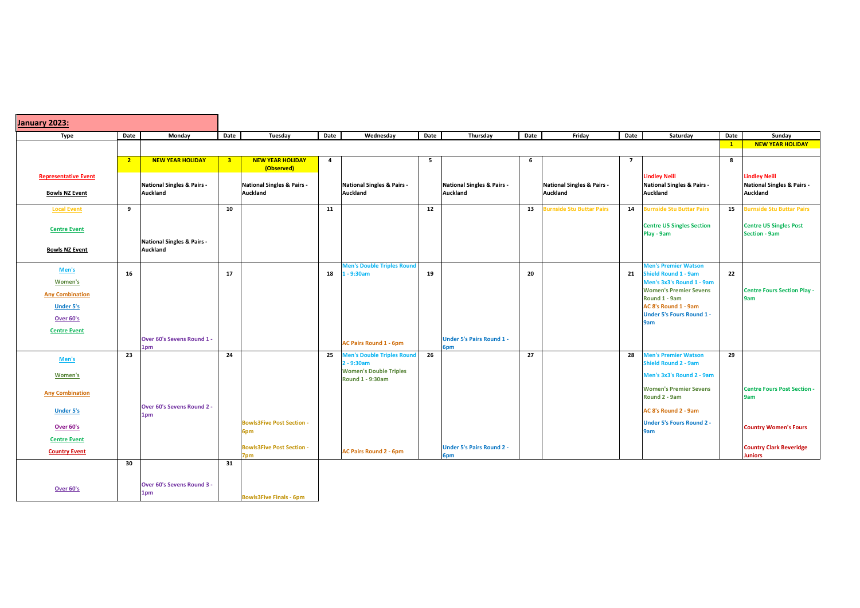| January 2023:                                        |                         |                                               |                |                                                   |                |                                                          |                 |                                                          |      |                                                   |                |                                                                                         |              |                                                                                  |
|------------------------------------------------------|-------------------------|-----------------------------------------------|----------------|---------------------------------------------------|----------------|----------------------------------------------------------|-----------------|----------------------------------------------------------|------|---------------------------------------------------|----------------|-----------------------------------------------------------------------------------------|--------------|----------------------------------------------------------------------------------|
| <b>Type</b>                                          | Date                    | Monday                                        | Date           | Tuesday                                           | Date           | Wednesday                                                | Date            | Thursday                                                 | Date | Friday                                            | Date           | Saturday                                                                                | Date         | Sunday                                                                           |
|                                                      |                         |                                               |                |                                                   |                |                                                          |                 |                                                          |      |                                                   |                |                                                                                         | $\mathbf{1}$ | <b>NEW YEAR HOLIDAY</b>                                                          |
|                                                      | $\overline{\mathbf{2}}$ | <b>NEW YEAR HOLIDAY</b>                       | 3 <sup>7</sup> | <b>NEW YEAR HOLIDAY</b><br>(Observed)             | $\overline{a}$ |                                                          | $5\overline{5}$ |                                                          | 6    |                                                   | $\overline{7}$ |                                                                                         | 8            |                                                                                  |
| <b>Representative Event</b><br><b>Bowls NZ Event</b> |                         | National Singles & Pairs -<br><b>Auckland</b> |                | <b>National Singles &amp; Pairs -</b><br>Auckland |                | National Singles & Pairs -<br><b>Auckland</b>            |                 | <b>National Singles &amp; Pairs -</b><br><b>Auckland</b> |      | <b>National Singles &amp; Pairs -</b><br>Auckland |                | <b>Lindley Neill</b><br><b>National Singles &amp; Pairs -</b><br><b>Auckland</b>        |              | <b>Lindley Neill</b><br><b>National Singles &amp; Pairs -</b><br><b>Auckland</b> |
| <b>Local Event</b>                                   | 9                       |                                               | 10             |                                                   | 11             |                                                          | 12              |                                                          | 13   | <b>Burnside Stu Buttar Pairs</b>                  | 14             | <b>Burnside Stu Buttar Pairs</b>                                                        | 15           | <b>Burnside Stu Buttar Pairs</b>                                                 |
| <b>Centre Event</b>                                  |                         |                                               |                |                                                   |                |                                                          |                 |                                                          |      |                                                   |                | <b>Centre U5 Singles Section</b><br>Play - 9am                                          |              | <b>Centre U5 Singles Post</b><br><b>Section - 9am</b>                            |
| <b>Bowls NZ Event</b>                                |                         | National Singles & Pairs -<br>Auckland        |                |                                                   |                |                                                          |                 |                                                          |      |                                                   |                |                                                                                         |              |                                                                                  |
| Men's<br><b>Women's</b>                              | 16                      |                                               | 17             |                                                   | 18             | <b>Men's Double Triples Round</b><br>$1 - 9:30$ am       | 19              |                                                          | 20   |                                                   | 21             | <b>Men's Premier Watson</b><br><b>Shield Round 1 - 9am</b><br>Men's 3x3's Round 1 - 9am | 22           |                                                                                  |
| <b>Any Combination</b><br><b>Under 5's</b>           |                         |                                               |                |                                                   |                |                                                          |                 |                                                          |      |                                                   |                | <b>Women's Premier Sevens</b><br>Round 1 - 9am<br>AC 8's Round 1 - 9am                  |              | <b>Centre Fours Section Play -</b><br>9am                                        |
| Over 60's                                            |                         |                                               |                |                                                   |                |                                                          |                 |                                                          |      |                                                   |                | <b>Under 5's Fours Round 1 -</b><br>9am                                                 |              |                                                                                  |
| <b>Centre Event</b>                                  |                         | Over 60's Sevens Round 1 -<br>1pm             |                |                                                   |                | <b>AC Pairs Round 1 - 6pm</b>                            |                 | <b>Under 5's Pairs Round 1 -</b><br>6pm                  |      |                                                   |                |                                                                                         |              |                                                                                  |
| Men's                                                | 23                      |                                               | 24             |                                                   | 25             | <b>Men's Double Triples Round</b><br>2 - 9:30am          | 26              |                                                          | 27   |                                                   | 28             | <b>Men's Premier Watson</b><br><b>Shield Round 2 - 9am</b>                              | 29           |                                                                                  |
| <b>Women's</b>                                       |                         |                                               |                |                                                   |                | <b>Women's Double Triples</b><br><b>Round 1 - 9:30am</b> |                 |                                                          |      |                                                   |                | Men's 3x3's Round 2 - 9am                                                               |              |                                                                                  |
| <b>Any Combination</b>                               |                         |                                               |                |                                                   |                |                                                          |                 |                                                          |      |                                                   |                | <b>Women's Premier Sevens</b><br>Round 2 - 9am                                          |              | <b>Centre Fours Post Section -</b><br>9am                                        |
| <b>Under 5's</b>                                     |                         | Over 60's Sevens Round 2 -<br>1pm             |                |                                                   |                |                                                          |                 |                                                          |      |                                                   |                | AC 8's Round 2 - 9am                                                                    |              |                                                                                  |
| Over 60's                                            |                         |                                               |                | <b>Bowls3Five Post Section -</b><br>6pm           |                |                                                          |                 |                                                          |      |                                                   |                | <b>Under 5's Fours Round 2 -</b><br>9am                                                 |              | <b>Country Women's Fours</b>                                                     |
| <b>Centre Event</b>                                  |                         |                                               |                |                                                   |                |                                                          |                 |                                                          |      |                                                   |                |                                                                                         |              | <b>Country Clark Beveridge</b>                                                   |
| <b>Country Event</b>                                 |                         |                                               |                | <b>Bowls3Five Post Section -</b><br>7pm           |                | <b>AC Pairs Round 2 - 6pm</b>                            |                 | <b>Under 5's Pairs Round 2 -</b><br>6pm                  |      |                                                   |                |                                                                                         |              | <b>Juniors</b>                                                                   |
|                                                      | 30                      |                                               | 31             |                                                   |                |                                                          |                 |                                                          |      |                                                   |                |                                                                                         |              |                                                                                  |
| <b>Over 60's</b>                                     |                         | <b>Over 60's Sevens Round 3 -</b><br>1pm      |                | <b>Bowls3Five Finals - 6pm</b>                    |                |                                                          |                 |                                                          |      |                                                   |                |                                                                                         |              |                                                                                  |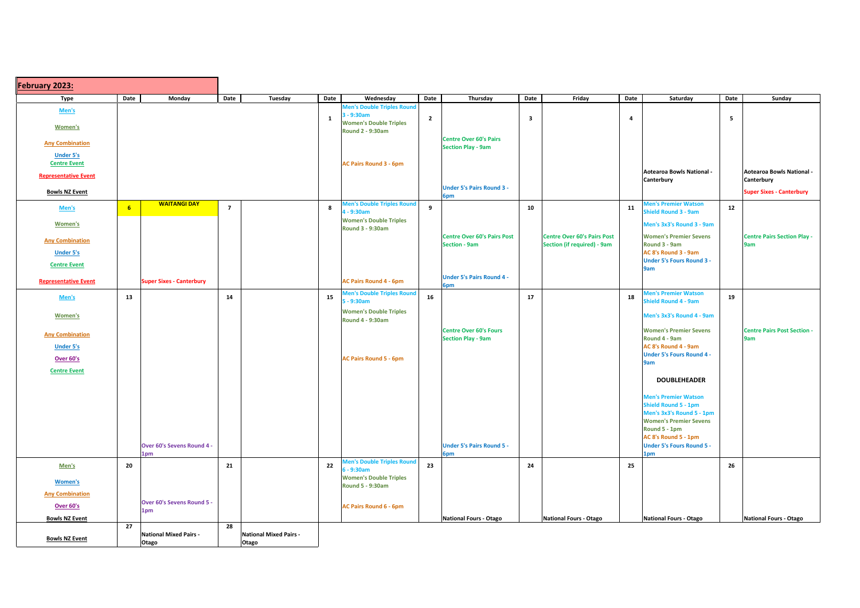| <b>February 2023:</b>       |                 |                                        |                |                                        |              |                                                          |                |                                                            |      |                                    |                |                                                            |      |                                           |
|-----------------------------|-----------------|----------------------------------------|----------------|----------------------------------------|--------------|----------------------------------------------------------|----------------|------------------------------------------------------------|------|------------------------------------|----------------|------------------------------------------------------------|------|-------------------------------------------|
| <b>Type</b>                 | Date            | Monday                                 | Date           | Tuesday                                | Date         | Wednesday                                                | Date           | Thursday                                                   | Date | Friday                             | Date           | Saturday                                                   | Date | Sunday                                    |
| Men's                       |                 |                                        |                |                                        |              | <b>Men's Double Triples Round</b><br>3 - 9:30am          |                |                                                            |      |                                    |                |                                                            |      |                                           |
| <b>Women's</b>              |                 |                                        |                |                                        | $\mathbf{1}$ | <b>Women's Double Triples</b><br><b>Round 2 - 9:30am</b> | $\overline{2}$ |                                                            | 3    |                                    | $\overline{4}$ |                                                            | 5    |                                           |
| <b>Any Combination</b>      |                 |                                        |                |                                        |              |                                                          |                | <b>Centre Over 60's Pairs</b><br><b>Section Play - 9am</b> |      |                                    |                |                                                            |      |                                           |
| <b>Under 5's</b>            |                 |                                        |                |                                        |              |                                                          |                |                                                            |      |                                    |                |                                                            |      |                                           |
| <b>Centre Event</b>         |                 |                                        |                |                                        |              | <b>AC Pairs Round 3 - 6pm</b>                            |                |                                                            |      |                                    |                | Aotearoa Bowls National -                                  |      | Aotearoa Bowls National -                 |
| <b>Representative Event</b> |                 |                                        |                |                                        |              |                                                          |                |                                                            |      |                                    |                | Canterbury                                                 |      | Canterbury                                |
| <b>Bowls NZ Event</b>       |                 |                                        |                |                                        |              |                                                          |                | <b>Under 5's Pairs Round 3 -</b><br>6pm                    |      |                                    |                |                                                            |      | <b>Super Sixes - Canterbury</b>           |
| Men's                       | $6\phantom{.}6$ | <b>WAITANGI DAY</b>                    | $\overline{7}$ |                                        | 8            | <b>Men's Double Triples Round</b><br>4 - 9:30am          | 9              |                                                            | 10   |                                    | 11             | <b>Men's Premier Watson</b><br><b>Shield Round 3 - 9am</b> | 12   |                                           |
| <b>Women's</b>              |                 |                                        |                |                                        |              | <b>Women's Double Triples</b><br><b>Round 3 - 9:30am</b> |                |                                                            |      |                                    |                | Men's 3x3's Round 3 - 9am                                  |      |                                           |
| <b>Any Combination</b>      |                 |                                        |                |                                        |              |                                                          |                | <b>Centre Over 60's Pairs Post</b>                         |      | <b>Centre Over 60's Pairs Post</b> |                | <b>Women's Premier Sevens</b>                              |      | <b>Centre Pairs Section Play -</b>        |
| <b>Under 5's</b>            |                 |                                        |                |                                        |              |                                                          |                | <b>Section - 9am</b>                                       |      | <b>Section (if required) - 9am</b> |                | Round 3 - 9am<br>AC 8's Round 3 - 9am                      |      | 9am                                       |
| <b>Centre Event</b>         |                 |                                        |                |                                        |              |                                                          |                |                                                            |      |                                    |                | <b>Under 5's Fours Round 3 -</b>                           |      |                                           |
|                             |                 |                                        |                |                                        |              |                                                          |                | <b>Under 5's Pairs Round 4 -</b>                           |      |                                    |                | 9am                                                        |      |                                           |
| <b>Representative Event</b> |                 | <b>Super Sixes - Canterbury</b>        |                |                                        |              | <b>AC Pairs Round 4 - 6pm</b>                            |                | 6pm                                                        |      |                                    |                |                                                            |      |                                           |
| Men's                       | 13              |                                        | 14             |                                        | 15           | <b>Men's Double Triples Round</b><br>$5 - 9:30am$        | 16             |                                                            | 17   |                                    | 18             | <b>Men's Premier Watson</b><br><b>Shield Round 4 - 9am</b> | 19   |                                           |
| <b>Women's</b>              |                 |                                        |                |                                        |              | <b>Women's Double Triples</b><br><b>Round 4 - 9:30am</b> |                |                                                            |      |                                    |                | Men's 3x3's Round 4 - 9am                                  |      |                                           |
| <b>Any Combination</b>      |                 |                                        |                |                                        |              |                                                          |                | <b>Centre Over 60's Fours</b><br><b>Section Play - 9am</b> |      |                                    |                | <b>Women's Premier Sevens</b><br>Round 4 - 9am             |      | <b>Centre Pairs Post Section -</b><br>9am |
| <b>Under 5's</b>            |                 |                                        |                |                                        |              |                                                          |                |                                                            |      |                                    |                | AC 8's Round 4 - 9am                                       |      |                                           |
| Over 60's                   |                 |                                        |                |                                        |              | <b>AC Pairs Round 5 - 6pm</b>                            |                |                                                            |      |                                    |                | <b>Under 5's Fours Round 4 -</b><br>9am                    |      |                                           |
| <b>Centre Event</b>         |                 |                                        |                |                                        |              |                                                          |                |                                                            |      |                                    |                |                                                            |      |                                           |
|                             |                 |                                        |                |                                        |              |                                                          |                |                                                            |      |                                    |                | <b>DOUBLEHEADER</b>                                        |      |                                           |
|                             |                 |                                        |                |                                        |              |                                                          |                |                                                            |      |                                    |                | <b>Men's Premier Watson</b>                                |      |                                           |
|                             |                 |                                        |                |                                        |              |                                                          |                |                                                            |      |                                    |                | <b>Shield Round 5 - 1pm</b><br>Men's 3x3's Round 5 - 1pm   |      |                                           |
|                             |                 |                                        |                |                                        |              |                                                          |                |                                                            |      |                                    |                | <b>Women's Premier Sevens</b>                              |      |                                           |
|                             |                 |                                        |                |                                        |              |                                                          |                |                                                            |      |                                    |                | Round 5 - 1pm                                              |      |                                           |
|                             |                 | Over 60's Sevens Round 4 -             |                |                                        |              |                                                          |                | <b>Under 5's Pairs Round 5 -</b>                           |      |                                    |                | AC 8's Round 5 - 1pm<br><b>Under 5's Fours Round 5 -</b>   |      |                                           |
|                             |                 | 1pm                                    |                |                                        |              |                                                          |                | 6pm                                                        |      |                                    |                | 1pm                                                        |      |                                           |
| Men's                       | 20              |                                        | 21             |                                        | 22           | <b>Men's Double Triples Round</b><br>$6 - 9:30$ am       | 23             |                                                            | 24   |                                    | 25             |                                                            | 26   |                                           |
| <b>Women's</b>              |                 |                                        |                |                                        |              | <b>Women's Double Triples</b>                            |                |                                                            |      |                                    |                |                                                            |      |                                           |
| <b>Any Combination</b>      |                 |                                        |                |                                        |              | <b>Round 5 - 9:30am</b>                                  |                |                                                            |      |                                    |                |                                                            |      |                                           |
| Over 60's                   |                 | Over 60's Sevens Round 5 -             |                |                                        |              | <b>AC Pairs Round 6 - 6pm</b>                            |                |                                                            |      |                                    |                |                                                            |      |                                           |
| <b>Bowls NZ Event</b>       |                 | 1pm                                    |                |                                        |              |                                                          |                | <b>National Fours - Otago</b>                              |      | National Fours - Otago             |                | National Fours - Otago                                     |      | National Fours - Otago                    |
|                             | 27              |                                        | 28             |                                        |              |                                                          |                |                                                            |      |                                    |                |                                                            |      |                                           |
| <b>Bowls NZ Event</b>       |                 | <b>National Mixed Pairs -</b><br>Otago |                | <b>National Mixed Pairs -</b><br>Otago |              |                                                          |                |                                                            |      |                                    |                |                                                            |      |                                           |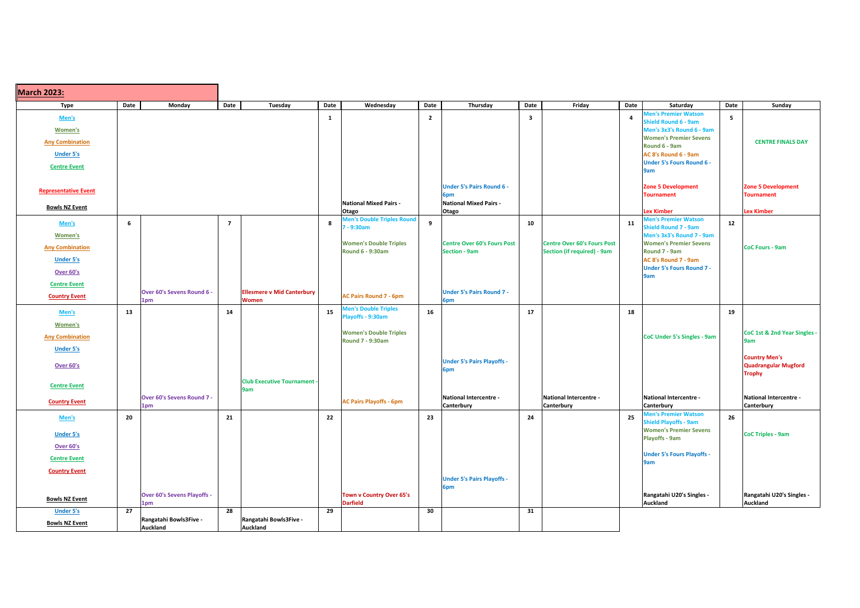| <b>March 2023:</b>          |      |                                    |                 |                                         |      |                                                 |                |                                      |                         |                                    |                |                                                            |             |                                                     |
|-----------------------------|------|------------------------------------|-----------------|-----------------------------------------|------|-------------------------------------------------|----------------|--------------------------------------|-------------------------|------------------------------------|----------------|------------------------------------------------------------|-------------|-----------------------------------------------------|
| <b>Type</b>                 | Date | Monday                             | Date            | Tuesday                                 | Date | Wednesday                                       | Date           | Thursday                             | Date                    | Friday                             | Date           | Saturday                                                   | <b>Date</b> | Sunday                                              |
| Men's                       |      |                                    |                 |                                         | 1    |                                                 | $\overline{2}$ |                                      | $\overline{\mathbf{3}}$ |                                    | $\overline{a}$ | <b>Men's Premier Watson</b><br><b>Shield Round 6 - 9am</b> | 5           |                                                     |
| <b>Women's</b>              |      |                                    |                 |                                         |      |                                                 |                |                                      |                         |                                    |                | Men's 3x3's Round 6 - 9am                                  |             |                                                     |
| <b>Any Combination</b>      |      |                                    |                 |                                         |      |                                                 |                |                                      |                         |                                    |                | <b>Women's Premier Sevens</b><br>Round 6 - 9am             |             | <b>CENTRE FINALS DAY</b>                            |
| <b>Under 5's</b>            |      |                                    |                 |                                         |      |                                                 |                |                                      |                         |                                    |                | AC 8's Round 6 - 9am                                       |             |                                                     |
| <b>Centre Event</b>         |      |                                    |                 |                                         |      |                                                 |                |                                      |                         |                                    |                | <b>Under 5's Fours Round 6 -</b>                           |             |                                                     |
|                             |      |                                    |                 |                                         |      |                                                 |                |                                      |                         |                                    |                | 9am                                                        |             |                                                     |
| <b>Representative Event</b> |      |                                    |                 |                                         |      |                                                 |                | <b>Under 5's Pairs Round 6 -</b>     |                         |                                    |                | <b>Zone 5 Development</b>                                  |             | <b>Zone 5 Development</b>                           |
|                             |      |                                    |                 |                                         |      | <b>National Mixed Pairs -</b>                   |                | 6pm<br><b>National Mixed Pairs -</b> |                         |                                    |                | <b>Tournament</b>                                          |             | <b>Tournament</b>                                   |
| <b>Bowls NZ Event</b>       |      |                                    |                 |                                         |      | Otago                                           |                | Otago                                |                         |                                    |                | <b>Lex Kimber</b>                                          |             | <b>Lex Kimber</b>                                   |
| Men's                       | 6    |                                    | $\overline{7}$  |                                         | 8    | <b>Men's Double Triples Round</b><br>7 - 9:30am | 9              |                                      | 10                      |                                    | 11             | <b>Men's Premier Watson</b><br><b>Shield Round 7 - 9am</b> | 12          |                                                     |
| <b>Women's</b>              |      |                                    |                 |                                         |      |                                                 |                |                                      |                         |                                    |                | Men's 3x3's Round 7 - 9am                                  |             |                                                     |
| <b>Any Combination</b>      |      |                                    |                 |                                         |      | <b>Women's Double Triples</b>                   |                | <b>Centre Over 60's Fours Post</b>   |                         | <b>Centre Over 60's Fours Post</b> |                | <b>Women's Premier Sevens</b>                              |             | <b>CoC Fours - 9am</b>                              |
| <b>Under 5's</b>            |      |                                    |                 |                                         |      | <b>Round 6 - 9:30am</b>                         |                | <b>Section - 9am</b>                 |                         | Section (if required) - 9am        |                | Round 7 - 9am<br>AC 8's Round 7 - 9am                      |             |                                                     |
| <b>Over 60's</b>            |      |                                    |                 |                                         |      |                                                 |                |                                      |                         |                                    |                | <b>Under 5's Fours Round 7 -</b>                           |             |                                                     |
| <b>Centre Event</b>         |      |                                    |                 |                                         |      |                                                 |                |                                      |                         |                                    |                | 9am                                                        |             |                                                     |
| <b>Country Event</b>        |      | Over 60's Sevens Round 6 -         |                 | <b>Ellesmere v Mid Canterbury</b>       |      | <b>AC Pairs Round 7 - 6pm</b>                   |                | <b>Under 5's Pairs Round 7 -</b>     |                         |                                    |                |                                                            |             |                                                     |
|                             |      | 1pm                                |                 | <b>Women</b>                            |      | <b>Men's Double Triples</b>                     |                | 6pm                                  |                         |                                    |                |                                                            |             |                                                     |
| Men's                       | 13   |                                    | 14              |                                         | 15   | Playoffs - 9:30am                               | 16             |                                      | 17                      |                                    | 18             |                                                            | 19          |                                                     |
| <b>Women's</b>              |      |                                    |                 |                                         |      | <b>Women's Double Triples</b>                   |                |                                      |                         |                                    |                |                                                            |             | CoC 1st & 2nd Year Singles -                        |
| <b>Any Combination</b>      |      |                                    |                 |                                         |      | <b>Round 7 - 9:30am</b>                         |                |                                      |                         |                                    |                | <b>CoC Under 5's Singles - 9am</b>                         |             | 9am                                                 |
| <b>Under 5's</b>            |      |                                    |                 |                                         |      |                                                 |                |                                      |                         |                                    |                |                                                            |             |                                                     |
| Over 60's                   |      |                                    |                 |                                         |      |                                                 |                | <b>Under 5's Pairs Playoffs -</b>    |                         |                                    |                |                                                            |             | <b>Country Men's</b><br><b>Quadrangular Mugford</b> |
|                             |      |                                    |                 |                                         |      |                                                 |                | 6pm                                  |                         |                                    |                |                                                            |             | <b>Trophy</b>                                       |
| <b>Centre Event</b>         |      |                                    |                 | <b>Club Executive Tournament</b><br>9am |      |                                                 |                |                                      |                         |                                    |                |                                                            |             |                                                     |
| <b>Country Event</b>        |      | Over 60's Sevens Round 7 -         |                 |                                         |      | <b>AC Pairs Playoffs - 6pm</b>                  |                | National Intercentre -               |                         | National Intercentre -             |                | <b>National Intercentre -</b>                              |             | <b>National Intercentre -</b>                       |
|                             |      | 1pm                                |                 |                                         |      |                                                 |                | <b>Canterbury</b>                    |                         | Canterbury                         |                | <b>Canterbury</b><br><b>Men's Premier Watson</b>           |             | Canterbury                                          |
| Men's                       | 20   |                                    | 21              |                                         | 22   |                                                 | 23             |                                      | 24                      |                                    | 25             | <b>Shield Playoffs - 9am</b>                               | 26          |                                                     |
| <b>Under 5's</b>            |      |                                    |                 |                                         |      |                                                 |                |                                      |                         |                                    |                | <b>Women's Premier Sevens</b><br><b>Playoffs - 9am</b>     |             | <b>CoC Triples - 9am</b>                            |
| Over 60's                   |      |                                    |                 |                                         |      |                                                 |                |                                      |                         |                                    |                |                                                            |             |                                                     |
| <b>Centre Event</b>         |      |                                    |                 |                                         |      |                                                 |                |                                      |                         |                                    |                | <b>Under 5's Fours Playoffs -</b><br>9am                   |             |                                                     |
| <b>Country Event</b>        |      |                                    |                 |                                         |      |                                                 |                |                                      |                         |                                    |                |                                                            |             |                                                     |
|                             |      |                                    |                 |                                         |      |                                                 |                | <b>Under 5's Pairs Playoffs -</b>    |                         |                                    |                |                                                            |             |                                                     |
|                             |      | <b>Over 60's Sevens Playoffs -</b> |                 |                                         |      | Town v Country Over 65's                        |                | 6pm                                  |                         |                                    |                | Rangatahi U20's Singles -                                  |             | Rangatahi U20's Singles -                           |
| <b>Bowls NZ Event</b>       |      | 1pm                                |                 |                                         |      | <b>Darfield</b>                                 |                |                                      |                         |                                    |                | Auckland                                                   |             | Auckland                                            |
| <b>Under 5's</b>            | 27   | Rangatahi Bowls3Five -             | $\overline{28}$ | Rangatahi Bowls3Five -                  | 29   |                                                 | 30             |                                      | 31                      |                                    |                |                                                            |             |                                                     |
| <b>Bowls NZ Event</b>       |      | <b>Auckland</b>                    |                 | <b>Auckland</b>                         |      |                                                 |                |                                      |                         |                                    |                |                                                            |             |                                                     |